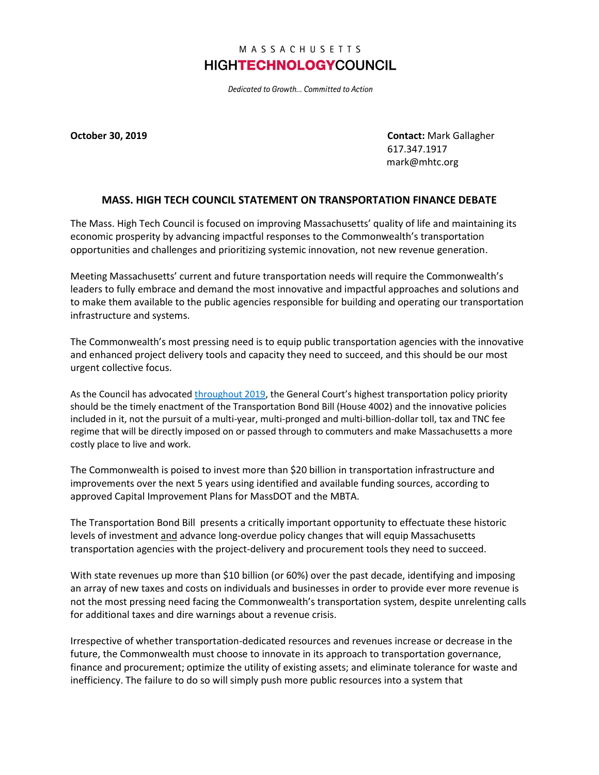## MASSACHUSETTS **HIGHTECHNOLOGYCOUNCIL**

Dedicated to Growth... Committed to Action

**October 30, 2019 Contact:** Mark Gallagher 617.347.1917 mark@mhtc.org

## **MASS. HIGH TECH COUNCIL STATEMENT ON TRANSPORTATION FINANCE DEBATE**

The Mass. High Tech Council is focused on improving Massachusetts' quality of life and maintaining its economic prosperity by advancing impactful responses to the Commonwealth's transportation opportunities and challenges and prioritizing systemic innovation, not new revenue generation.

Meeting Massachusetts' current and future transportation needs will require the Commonwealth's leaders to fully embrace and demand the most innovative and impactful approaches and solutions and to make them available to the public agencies responsible for building and operating our transportation infrastructure and systems.

The Commonwealth's most pressing need is to equip public transportation agencies with the innovative and enhanced project delivery tools and capacity they need to succeed, and this should be our most urgent collective focus.

As the Council has advocated [throughout 2019](http://www.mhtc.org/wp-content/uploads/2019/03/January-2019-High-Tech-Agenda.pdf), the General Court's highest transportation policy priority should be the timely enactment of the Transportation Bond Bill (House 4002) and the innovative policies included in it, not the pursuit of a multi-year, multi-pronged and multi-billion-dollar toll, tax and TNC fee regime that will be directly imposed on or passed through to commuters and make Massachusetts a more costly place to live and work.

The Commonwealth is poised to invest more than \$20 billion in transportation infrastructure and improvements over the next 5 years using identified and available funding sources, according to approved Capital Improvement Plans for MassDOT and the MBTA.

The Transportation Bond Bill presents a critically important opportunity to effectuate these historic levels of investment and advance long-overdue policy changes that will equip Massachusetts transportation agencies with the project-delivery and procurement tools they need to succeed.

With state revenues up more than \$10 billion (or 60%) over the past decade, identifying and imposing an array of new taxes and costs on individuals and businesses in order to provide ever more revenue is not the most pressing need facing the Commonwealth's transportation system, despite unrelenting calls for additional taxes and dire warnings about a revenue crisis.

Irrespective of whether transportation-dedicated resources and revenues increase or decrease in the future, the Commonwealth must choose to innovate in its approach to transportation governance, finance and procurement; optimize the utility of existing assets; and eliminate tolerance for waste and inefficiency. The failure to do so will simply push more public resources into a system that